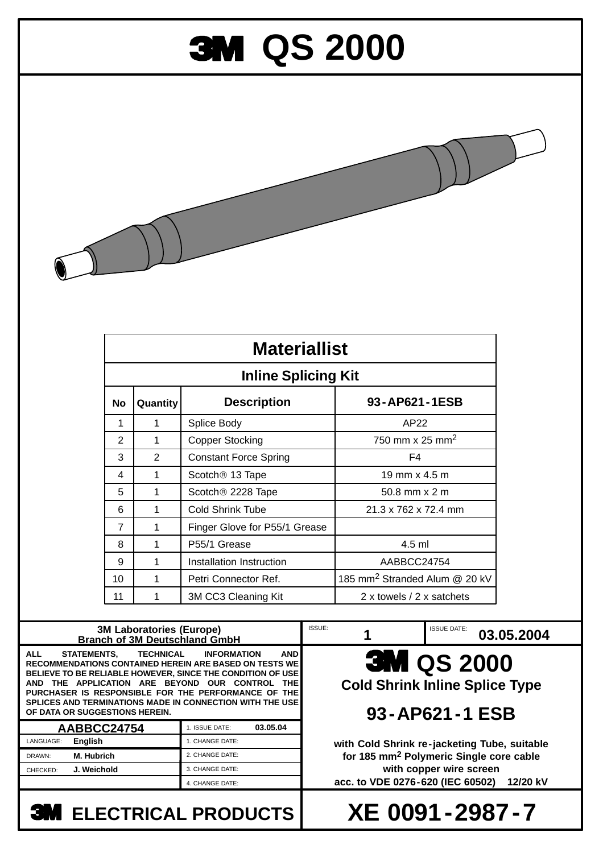## **3M QS 2000**



| <b>Materiallist</b><br><b>Inline Splicing Kit</b> |   |                               |                                           |
|---------------------------------------------------|---|-------------------------------|-------------------------------------------|
|                                                   |   |                               |                                           |
| 1                                                 | 1 | Splice Body                   | AP22                                      |
| 2                                                 | 1 | <b>Copper Stocking</b>        | 750 mm x 25 mm <sup>2</sup>               |
| 3                                                 | 2 | <b>Constant Force Spring</b>  | F4                                        |
| 4                                                 | 1 | Scotch <sup>®</sup> 13 Tape   | 19 mm $\times$ 4.5 m                      |
| 5                                                 | 1 | Scotch <sup>®</sup> 2228 Tape | $50.8$ mm $\times$ 2 m                    |
| 6                                                 | 1 | Cold Shrink Tube              | 21.3 x 762 x 72.4 mm                      |
| $\overline{7}$                                    | 1 | Finger Glove for P55/1 Grease |                                           |
| 8                                                 | 1 | P <sub>55</sub> /1 Grease     | $4.5$ ml                                  |
| 9                                                 | 1 | Installation Instruction      | AABBCC24754                               |
| 10                                                | 1 | Petri Connector Ref.          | 185 mm <sup>2</sup> Stranded Alum @ 20 kV |
| 11                                                | 1 | 3M CC3 Cleaning Kit           | 2 x towels / 2 x satchets                 |

## **3M QS 2000 Cold Shrink Inline Splice Type 93-AP621-1 ESB with Cold Shrink re-jacketing Tube, suitable for 185 mm2 Polymeric Single core cable with copper wire screen acc. to VDE 0276-620 (IEC 60502) 12/20 kV 03.05.04 1 3M Laboratories (Europe) Branch of 3M Deutschland GmbH AABBCC24754 03.05.2004** 1. ISSUE DATE: 1. CHANGE DATE: 2. CHANGE DATE: 3. CHANGE DATE: 4. CHANGE DATE: **ALL STATEMENTS, TECHNICAL INFORMATION AND RECOMMENDATIONS CONTAINED HEREIN ARE BASED ON TESTS WE BELIEVE TO BE RELIABLE HOWEVER, SINCE THE CONDITION OF USE AND THE APPLICATION ARE BEYOND OUR CONTROL THE PURCHASER IS RESPONSIBLE FOR THE PERFORMANCE OF THE SPLICES AND TERMINATIONS MADE IN CONNECTION WITH THE USE OF DATA OR SUGGESTIONS HEREIN.** ISSUE: 1<br>
1<br>
ISSUE DATE: **M. Hubrich J. Weichold** LANGUAGE: **English** DRAWN: CHECKED:

**ELECTRICAL PRODUCTS**

**XE 0091-2987-7**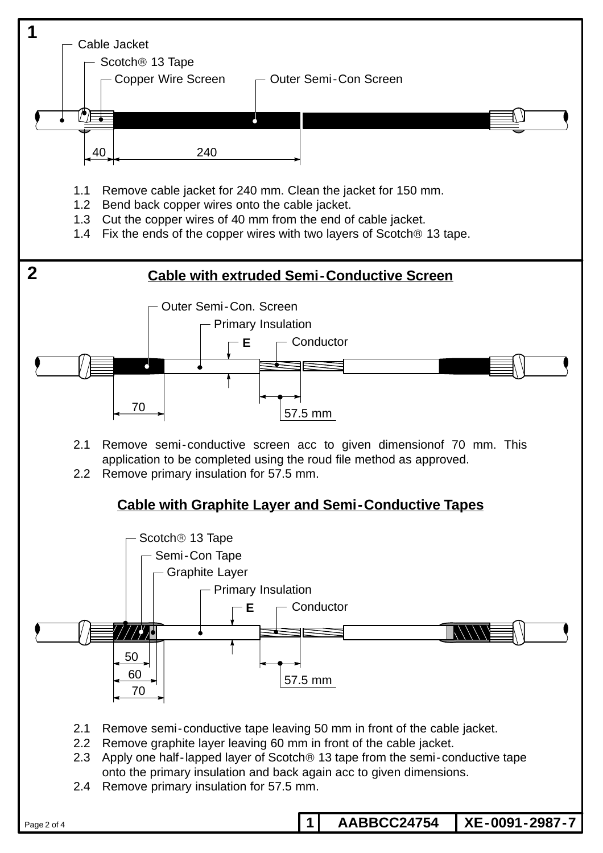

Page 2 of 4

**1 AABBCC24754 XE-0091-2987-7**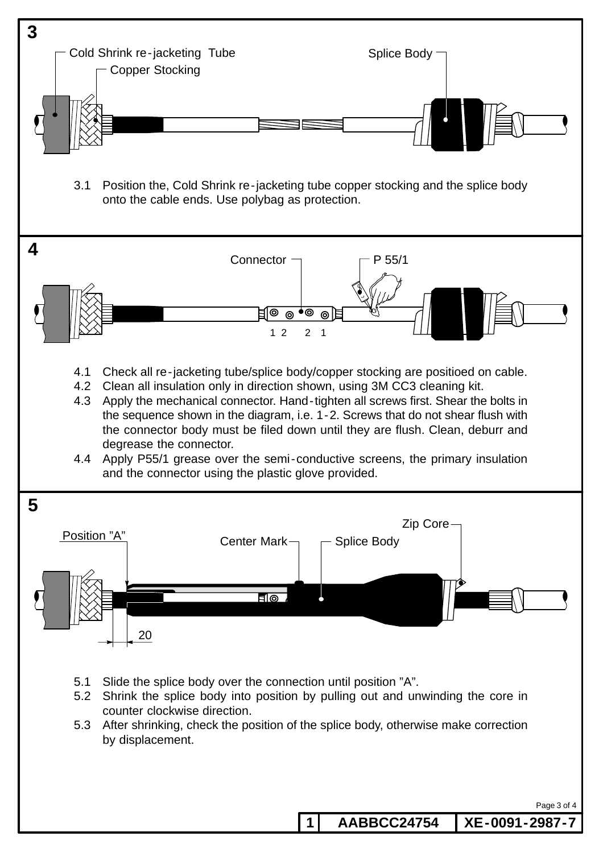